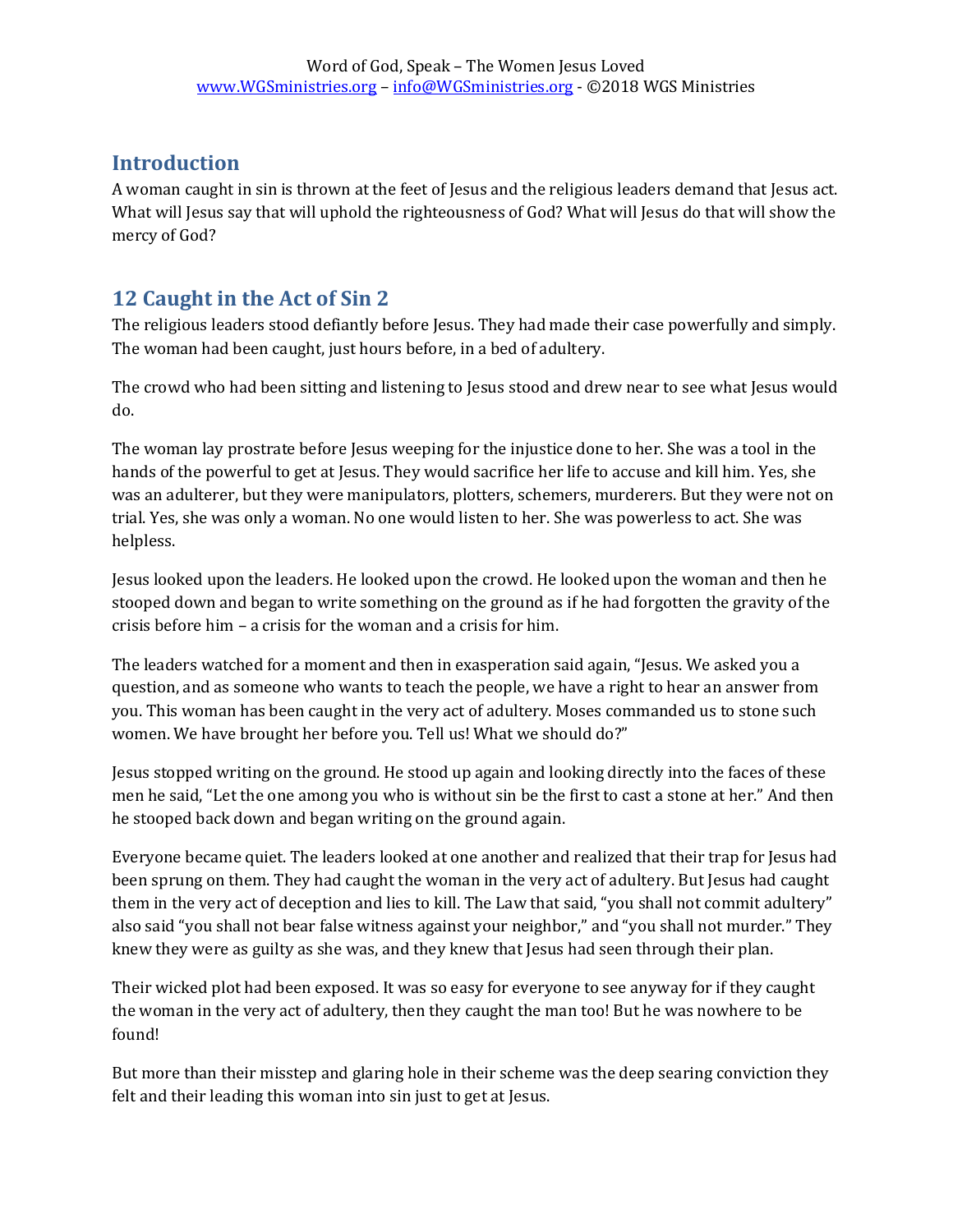## **Introduction**

A woman caught in sin is thrown at the feet of Jesus and the religious leaders demand that Jesus act. What will Jesus say that will uphold the righteousness of God? What will Jesus do that will show the mercy of God?

## **12 Caught in the Act of Sin 2**

The religious leaders stood defiantly before Jesus. They had made their case powerfully and simply. The woman had been caught, just hours before, in a bed of adultery.

The crowd who had been sitting and listening to Jesus stood and drew near to see what Jesus would do.

The woman lay prostrate before Jesus weeping for the injustice done to her. She was a tool in the hands of the powerful to get at Jesus. They would sacrifice her life to accuse and kill him. Yes, she was an adulterer, but they were manipulators, plotters, schemers, murderers. But they were not on trial. Yes, she was only a woman. No one would listen to her. She was powerless to act. She was helpless.

Jesus looked upon the leaders. He looked upon the crowd. He looked upon the woman and then he stooped down and began to write something on the ground as if he had forgotten the gravity of the crisis before him – a crisis for the woman and a crisis for him.

The leaders watched for a moment and then in exasperation said again, "Jesus. We asked you a question, and as someone who wants to teach the people, we have a right to hear an answer from you. This woman has been caught in the very act of adultery. Moses commanded us to stone such women. We have brought her before you. Tell us! What we should do?"

Jesus stopped writing on the ground. He stood up again and looking directly into the faces of these men he said, "Let the one among you who is without sin be the first to cast a stone at her." And then he stooped back down and began writing on the ground again.

Everyone became quiet. The leaders looked at one another and realized that their trap for Jesus had been sprung on them. They had caught the woman in the very act of adultery. But Jesus had caught them in the very act of deception and lies to kill. The Law that said, "you shall not commit adultery" also said "you shall not bear false witness against your neighbor," and "you shall not murder." They knew they were as guilty as she was, and they knew that Jesus had seen through their plan.

Their wicked plot had been exposed. It was so easy for everyone to see anyway for if they caught the woman in the very act of adultery, then they caught the man too! But he was nowhere to be found!

But more than their misstep and glaring hole in their scheme was the deep searing conviction they felt and their leading this woman into sin just to get at Jesus.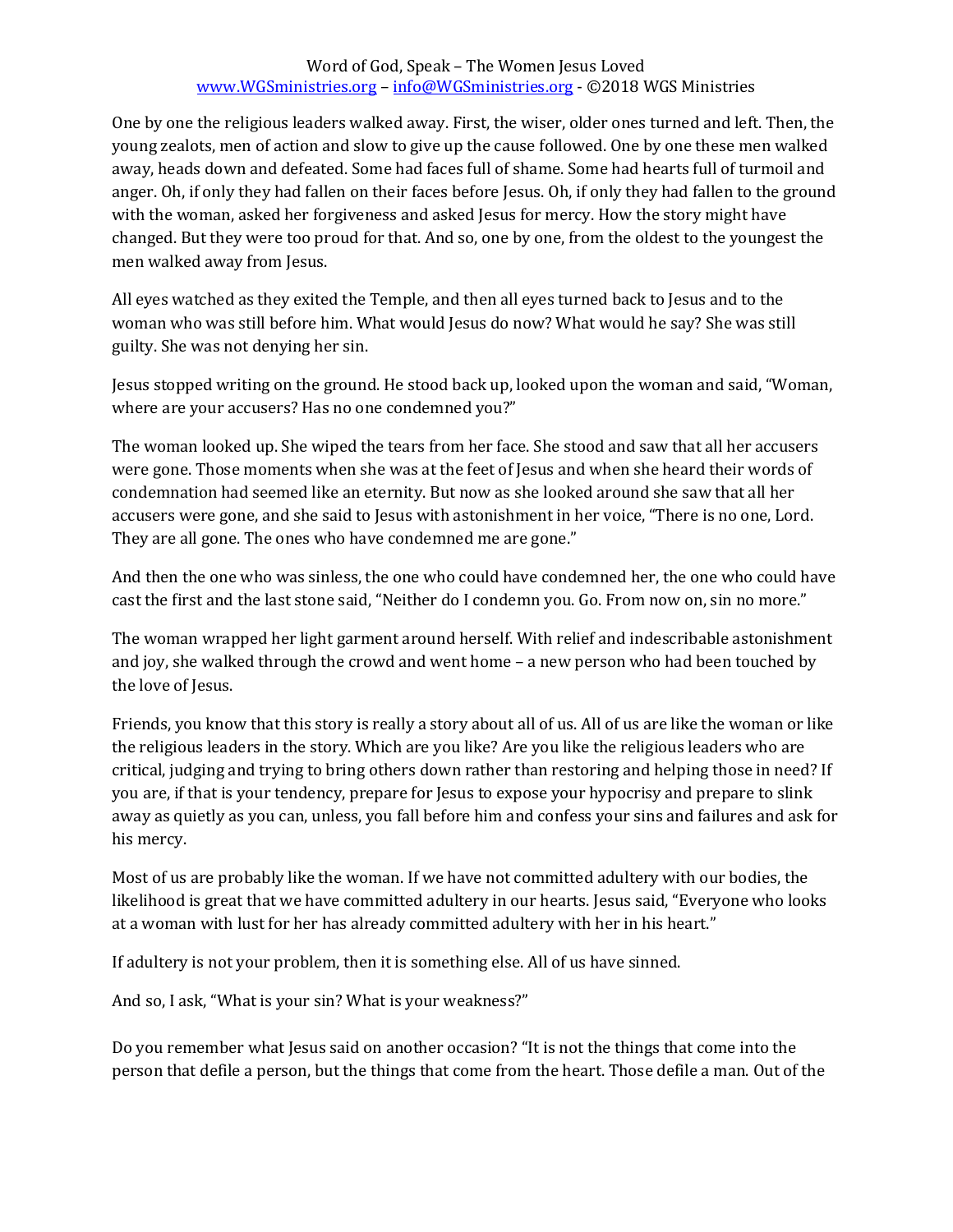## Word of God, Speak – The Women Jesus Loved [www.WGSministries.org](http://www.wgsministries.org/) – [info@WGSministries.org](mailto:info@WGSministries.org) - ©2018 WGS Ministries

One by one the religious leaders walked away. First, the wiser, older ones turned and left. Then, the young zealots, men of action and slow to give up the cause followed. One by one these men walked away, heads down and defeated. Some had faces full of shame. Some had hearts full of turmoil and anger. Oh, if only they had fallen on their faces before Jesus. Oh, if only they had fallen to the ground with the woman, asked her forgiveness and asked Jesus for mercy. How the story might have changed. But they were too proud for that. And so, one by one, from the oldest to the youngest the men walked away from Jesus.

All eyes watched as they exited the Temple, and then all eyes turned back to Jesus and to the woman who was still before him. What would Jesus do now? What would he say? She was still guilty. She was not denying her sin.

Jesus stopped writing on the ground. He stood back up, looked upon the woman and said, "Woman, where are your accusers? Has no one condemned you?"

The woman looked up. She wiped the tears from her face. She stood and saw that all her accusers were gone. Those moments when she was at the feet of Jesus and when she heard their words of condemnation had seemed like an eternity. But now as she looked around she saw that all her accusers were gone, and she said to Jesus with astonishment in her voice, "There is no one, Lord. They are all gone. The ones who have condemned me are gone."

And then the one who was sinless, the one who could have condemned her, the one who could have cast the first and the last stone said, "Neither do I condemn you. Go. From now on, sin no more."

The woman wrapped her light garment around herself. With relief and indescribable astonishment and joy, she walked through the crowd and went home – a new person who had been touched by the love of Jesus.

Friends, you know that this story is really a story about all of us. All of us are like the woman or like the religious leaders in the story. Which are you like? Are you like the religious leaders who are critical, judging and trying to bring others down rather than restoring and helping those in need? If you are, if that is your tendency, prepare for Jesus to expose your hypocrisy and prepare to slink away as quietly as you can, unless, you fall before him and confess your sins and failures and ask for his mercy.

Most of us are probably like the woman. If we have not committed adultery with our bodies, the likelihood is great that we have committed adultery in our hearts. Jesus said, "Everyone who looks at a woman with lust for her has already committed adultery with her in his heart."

If adultery is not your problem, then it is something else. All of us have sinned.

And so, I ask, "What is your sin? What is your weakness?"

Do you remember what Jesus said on another occasion? "It is not the things that come into the person that defile a person, but the things that come from the heart. Those defile a man. Out of the